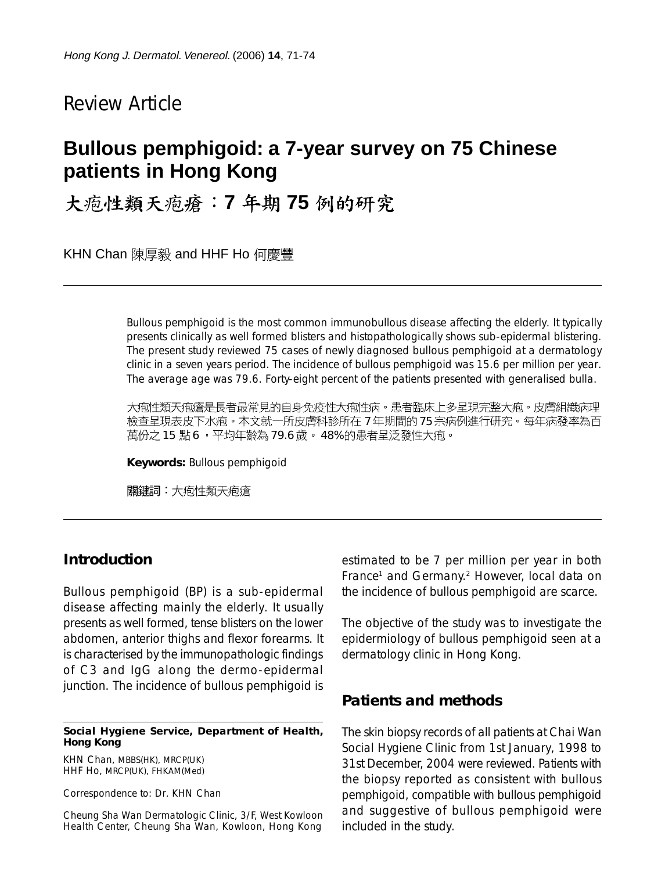# Review Article

# **Bullous pemphigoid: a 7-year survey on 75 Chinese patients in Hong Kong**

大疱性類天疱瘡:7年期75例的研究

KHN Chan 陳厚毅 and HHF Ho 何慶豐

Bullous pemphigoid is the most common immunobullous disease affecting the elderly. It typically presents clinically as well formed blisters and histopathologically shows sub-epidermal blistering. The present study reviewed 75 cases of newly diagnosed bullous pemphigoid at a dermatology clinic in a seven years period. The incidence of bullous pemphigoid was 15.6 per million per year. The average age was 79.6. Forty-eight percent of the patients presented with generalised bulla.

大疱性類天疱瘡是長者最常見的自身免疫性大疱性病。患者臨床上多呈現完整大疱。皮膚組織病理 檢查呈現表皮下水疱。本文就一所皮膚科診所在 7 年期間的 75 宗病例進行研究。每年病發率為百 萬份之 15 點 6,平均年齡為 79.6 歲。 48% 的患者呈泛發性大疱。

**Keywords:** Bullous pemphigoid

關鍵詞:大疱性類天疱瘡

## **Introduction**

Bullous pemphigoid (BP) is a sub-epidermal disease affecting mainly the elderly. It usually presents as well formed, tense blisters on the lower abdomen, anterior thighs and flexor forearms. It is characterised by the immunopathologic findings of C3 and IgG along the dermo-epidermal junction. The incidence of bullous pemphigoid is

#### **Social Hygiene Service, Department of Health, Hong Kong**

KHN Chan, MBBS(HK), MRCP(UK) HHF Ho, MRCP(UK), FHKAM(Med)

Correspondence to: Dr. KHN Chan

Cheung Sha Wan Dermatologic Clinic, 3/F, West Kowloon Health Center, Cheung Sha Wan, Kowloon, Hong Kong estimated to be 7 per million per year in both France<sup>1</sup> and Germany.<sup>2</sup> However, local data on the incidence of bullous pemphigoid are scarce.

The objective of the study was to investigate the epidermiology of bullous pemphigoid seen at a dermatology clinic in Hong Kong.

## **Patients and methods**

The skin biopsy records of all patients at Chai Wan Social Hygiene Clinic from 1st January, 1998 to 31st December, 2004 were reviewed. Patients with the biopsy reported as consistent with bullous pemphigoid, compatible with bullous pemphigoid and suggestive of bullous pemphigoid were included in the study.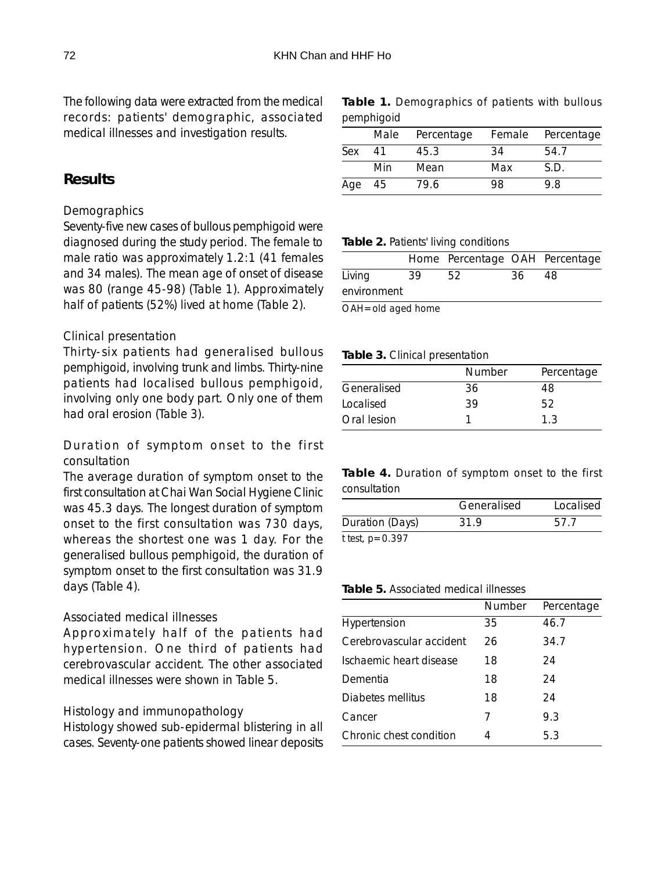The following data were extracted from the medical records: patients' demographic, associated medical illnesses and investigation results.

## **Results**

### *Demographics*

Seventy-five new cases of bullous pemphigoid were diagnosed during the study period. The female to male ratio was approximately 1.2:1 (41 females and 34 males). The mean age of onset of disease was 80 (range 45-98) (Table 1). Approximately half of patients (52%) lived at home (Table 2).

### *Clinical presentation*

Thirty-six patients had generalised bullous pemphigoid, involving trunk and limbs. Thirty-nine patients had localised bullous pemphigoid, involving only one body part. Only one of them had oral erosion (Table 3).

## *Duration of symptom onset to the first consultation*

The average duration of symptom onset to the first consultation at Chai Wan Social Hygiene Clinic was 45.3 days. The longest duration of symptom onset to the first consultation was 730 days, whereas the shortest one was 1 day. For the generalised bullous pemphigoid, the duration of symptom onset to the first consultation was 31.9 days (Table 4).

## *Associated medical illnesses*

Approximately half of the patients had hypertension. One third of patients had cerebrovascular accident. The other associated medical illnesses were shown in Table 5.

### *Histology and immunopathology*

Histology showed sub-epidermal blistering in all cases. Seventy-one patients showed linear deposits **Table 1.** Demographics of patients with bullous pemphigoid

|     | Male | Percentage |     | Female Percentage |
|-----|------|------------|-----|-------------------|
| Sex | 41   | 45.3       | 34  | 54.7              |
|     | Min  | Mean       | Max | S.D.              |
| Age | - 45 | 79.6       | 98  | 9.8               |

#### **Table 2.** Patients' living conditions

|                                     |    | Home Percentage OAH Percentage |     |    |
|-------------------------------------|----|--------------------------------|-----|----|
| Living                              | 39 | 52                             | 36. | 48 |
| environment                         |    |                                |     |    |
| $\bigcap A H = \bigcap A$ agad home |    |                                |     |    |

OAH=old aged home

#### **Table 3.** Clinical presentation

|             | <b>Number</b> | Percentage |  |  |
|-------------|---------------|------------|--|--|
| Generalised | 36            | 48         |  |  |
| Localised   | 39            | 52         |  |  |
| Oral lesion |               | 13         |  |  |

**Table 4.** Duration of symptom onset to the first consultation

|                 | Generalised | Localised |  |
|-----------------|-------------|-----------|--|
| Duration (Days) | 31.9        | 57.7      |  |
| t test, p=0.397 |             |           |  |

#### **Table 5.** Associated medical illnesses

|                          | Number | Percentage |
|--------------------------|--------|------------|
| Hypertension             | 35     | 46.7       |
| Cerebrovascular accident | 26     | 34.7       |
| Ischaemic heart disease  | 18     | 24         |
| Dementia                 | 18     | 24         |
| Diabetes mellitus        | 18     | 24         |
| Cancer                   | 7      | 9.3        |
| Chronic chest condition  | 4      | 5.3        |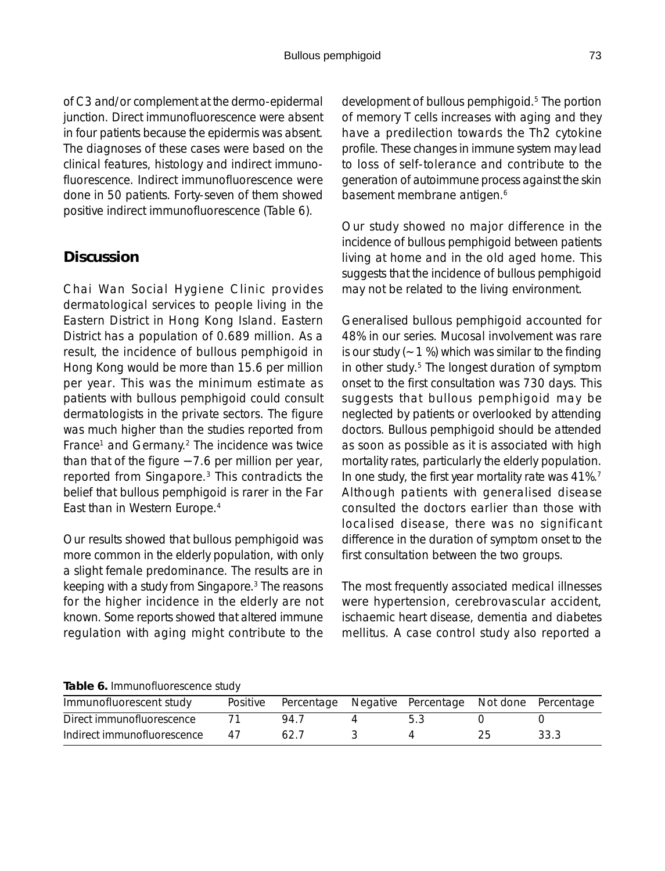of C3 and/or complement at the dermo-epidermal junction. Direct immunofluorescence were absent in four patients because the epidermis was absent. The diagnoses of these cases were based on the clinical features, histology and indirect immunofluorescence. Indirect immunofluorescence were done in 50 patients. Forty-seven of them showed positive indirect immunofluorescence (Table 6).

# **Discussion**

Chai Wan Social Hygiene Clinic provides dermatological services to people living in the Eastern District in Hong Kong Island. Eastern District has a population of 0.689 million. As a result, the incidence of bullous pemphigoid in Hong Kong would be more than 15.6 per million per year. This was the minimum estimate as patients with bullous pemphigoid could consult dermatologists in the private sectors. The figure was much higher than the studies reported from France<sup>1</sup> and Germany.<sup>2</sup> The incidence was twice than that of the figure − 7.6 per million per year, reported from Singapore.3 This contradicts the belief that bullous pemphigoid is rarer in the Far East than in Western Europe.4

Our results showed that bullous pemphigoid was more common in the elderly population, with only a slight female predominance. The results are in keeping with a study from Singapore.3 The reasons for the higher incidence in the elderly are not known. Some reports showed that altered immune regulation with aging might contribute to the

development of bullous pemphigoid.5 The portion of memory T cells increases with aging and they have a predilection towards the Th2 cytokine profile. These changes in immune system may lead to loss of self-tolerance and contribute to the generation of autoimmune process against the skin basement membrane antigen.<sup>6</sup>

Our study showed no major difference in the incidence of bullous pemphigoid between patients living at home and in the old aged home. This suggests that the incidence of bullous pemphigoid may not be related to the living environment.

Generalised bullous pemphigoid accounted for 48% in our series. Mucosal involvement was rare is our study  $(-1 %)$  which was similar to the finding in other study.5 The longest duration of symptom onset to the first consultation was 730 days. This suggests that bullous pemphigoid may be neglected by patients or overlooked by attending doctors. Bullous pemphigoid should be attended as soon as possible as it is associated with high mortality rates, particularly the elderly population. In one study, the first year mortality rate was 41%.<sup>7</sup> Although patients with generalised disease consulted the doctors earlier than those with localised disease, there was no significant difference in the duration of symptom onset to the first consultation between the two groups.

The most frequently associated medical illnesses were hypertension, cerebrovascular accident, ischaemic heart disease, dementia and diabetes mellitus. A case control study also reported a

**Table 6.** Immunofluorescence study

| Immunofluorescent study     |    | Positive Percentage Negative Percentage Not done Percentage |  |      |
|-----------------------------|----|-------------------------------------------------------------|--|------|
| Direct immunofluorescence   |    | 947                                                         |  |      |
| Indirect immunofluorescence | 41 | 62.7                                                        |  | 33.3 |